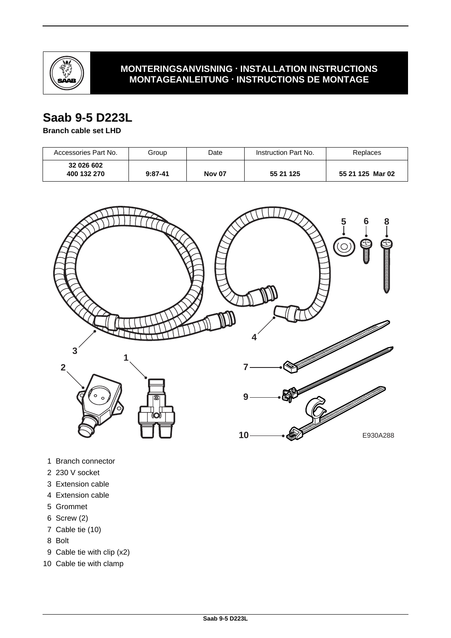

### **MONTERINGSANVISNING · INSTALLATION INSTRUCTIONS MONTAGEANLEITUNG · INSTRUCTIONS DE MONTAGE**

# **Saab 9-5 D223L**

#### **Branch cable set LHD**

| Accessories Part No.      | Group     | Date          | Instruction Part No. | Replaces         |
|---------------------------|-----------|---------------|----------------------|------------------|
| 32 026 602<br>400 132 270 | $9:87-41$ | <b>Nov 07</b> | 55 21 125            | 55 21 125 Mar 02 |



- 1 Branch connector
- 2 230 V socket
- 3 Extension cable
- 4 Extension cable
- 5 Grommet
- 6 Screw (2)
- 7 Cable tie (10)
- 8 Bolt
- 9 Cable tie with clip (x2)
- 10 Cable tie with clamp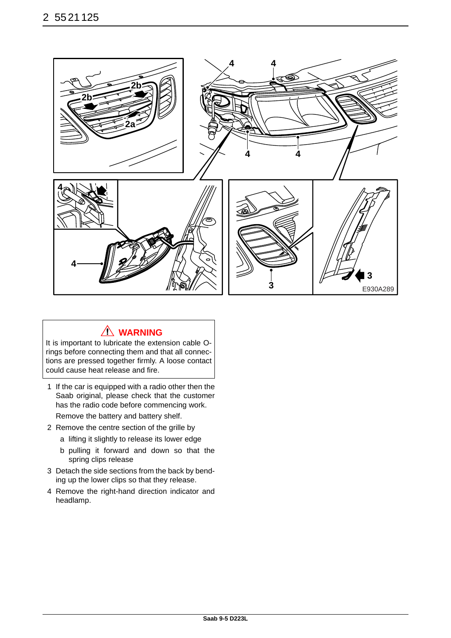

## **WARNING**

It is important to lubricate the extension cable Orings before connecting them and that all connections are pressed together firmly. A loose contact could cause heat release and fire.

- 1 If the car is equipped with a radio other then the Saab original, please check that the customer has the radio code before commencing work. Remove the battery and battery shelf.
- 2 Remove the centre section of the grille by
	- a lifting it slightly to release its lower edge
	- b pulling it forward and down so that the spring clips release
- 3 Detach the side sections from the back by bending up the lower clips so that they release.
- 4 Remove the right-hand direction indicator and headlamp.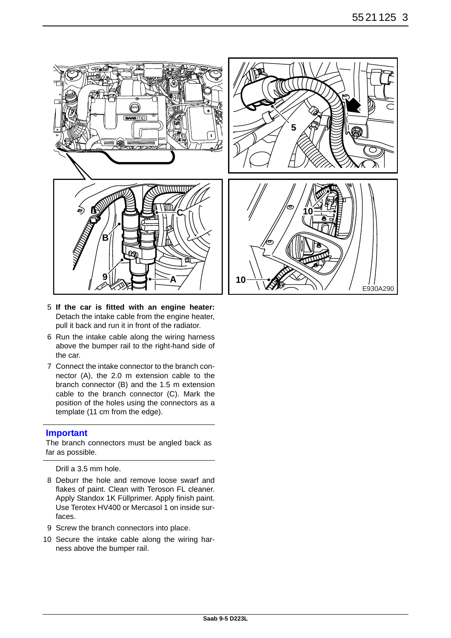

- 5 **If the car is fitted with an engine heater:** Detach the intake cable from the engine heater, pull it back and run it in front of the radiator.
- 6 Run the intake cable along the wiring harness above the bumper rail to the right-hand side of the car.
- 7 Connect the intake connector to the branch connector (A), the 2.0 m extension cable to the branch connector (B) and the 1.5 m extension cable to the branch connector (C). Mark the position of the holes using the connectors as a template (11 cm from the edge).

#### **Important**

The branch connectors must be angled back as far as possible.

Drill a 3.5 mm hole.

- 8 Deburr the hole and remove loose swarf and flakes of paint. Clean with Teroson FL cleaner. Apply Standox 1K Füllprimer. Apply finish paint. Use Terotex HV400 or Mercasol 1 on inside surfaces.
- 9 Screw the branch connectors into place.
- 10 Secure the intake cable along the wiring harness above the bumper rail.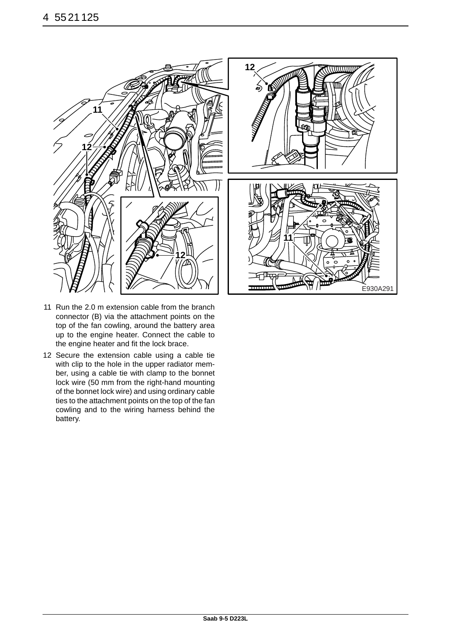

- 11 Run the 2.0 m extension cable from the branch connector (B) via the attachment points on the top of the fan cowling, around the battery area up to the engine heater. Connect the cable to the engine heater and fit the lock brace.
- 12 Secure the extension cable using a cable tie with clip to the hole in the upper radiator member, using a cable tie with clamp to the bonnet lock wire (50 mm from the right-hand mounting of the bonnet lock wire) and using ordinary cable ties to the attachment points on the top of the fan cowling and to the wiring harness behind the battery.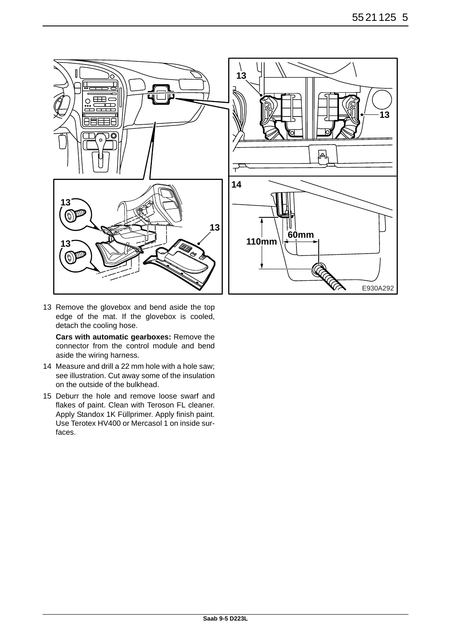

13 Remove the glovebox and bend aside the top edge of the mat. If the glovebox is cooled, detach the cooling hose.

**Cars with automatic gearboxes:** Remove the connector from the control module and bend aside the wiring harness.

- 14 Measure and drill a 22 mm hole with a hole saw; see illustration. Cut away some of the insulation on the outside of the bulkhead.
- 15 Deburr the hole and remove loose swarf and flakes of paint. Clean with Teroson FL cleaner. Apply Standox 1K Füllprimer. Apply finish paint. Use Terotex HV400 or Mercasol 1 on inside surfaces.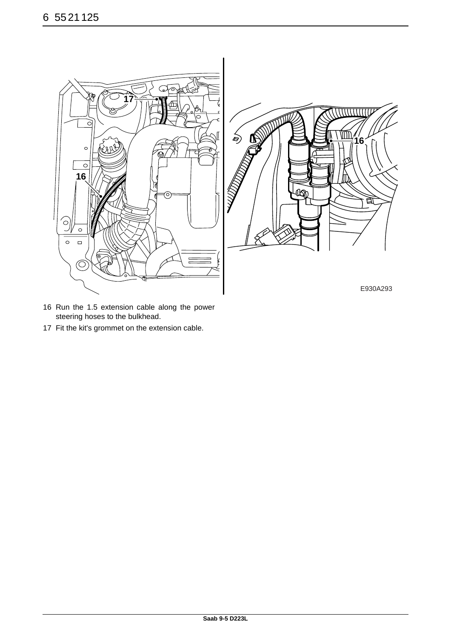

- 16 Run the 1.5 extension cable along the power steering hoses to the bulkhead.
- 17 Fit the kit's grommet on the extension cable.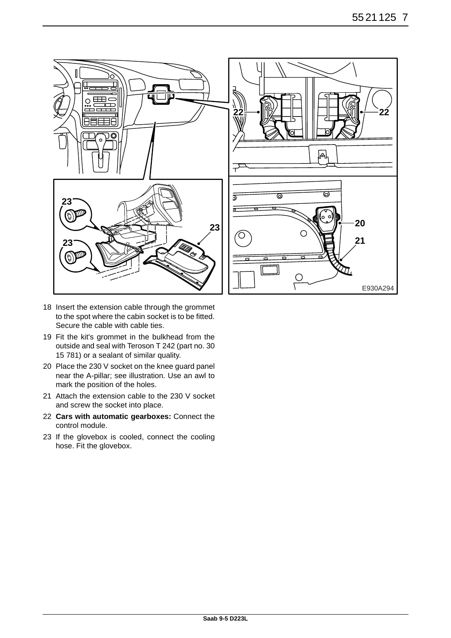

- 18 Insert the extension cable through the grommet to the spot where the cabin socket is to be fitted. Secure the cable with cable ties.
- 19 Fit the kit's grommet in the bulkhead from the outside and seal with Teroson T 242 (part no. 30 15 781) or a sealant of similar quality.
- 20 Place the 230 V socket on the knee guard panel near the A-pillar; see illustration. Use an awl to mark the position of the holes.
- 21 Attach the extension cable to the 230 V socket and screw the socket into place.
- 22 **Cars with automatic gearboxes:** Connect the control module.
- 23 If the glovebox is cooled, connect the cooling hose. Fit the glovebox.